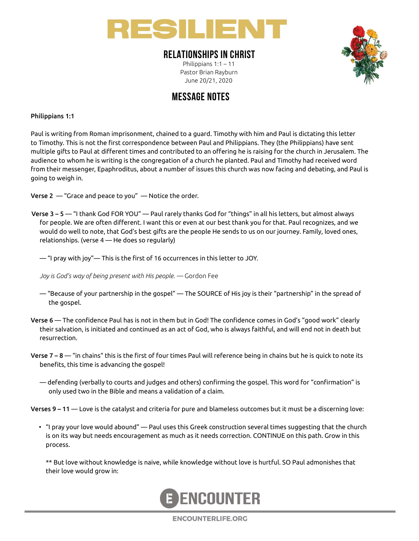

### RELATIONSHIPS IN CHRIST

Philippians 1:1 – 11 Pastor Brian Rayburn June 20/21, 2020



## MESSAGE NOTES

#### Philippians 1:1

Paul is writing from Roman imprisonment, chained to a guard. Timothy with him and Paul is dictating this letter to Timothy. This is not the first correspondence between Paul and Philippians. They (the Philippians) have sent multiple gifts to Paul at different times and contributed to an offering he is raising for the church in Jerusalem. The audience to whom he is writing is the congregation of a church he planted. Paul and Timothy had received word from their messenger, Epaphroditus, about a number of issues this church was now facing and debating, and Paul is going to weigh in.

**Verse 2** — "Grace and peace to you" — Notice the order.

Verse 3 – 5 — "I thank God FOR YOU" — Paul rarely thanks God for "things" in all his letters, but almost always for people. We are often different. I want this or even at our best thank you for that. Paul recognizes, and we would do well to note, that God's best gifts are the people He sends to us on our journey. Family, loved ones, relationships. (verse 4 — He does so regularly)

 $-$  "I pray with joy"— This is the first of 16 occurrences in this letter to JOY.

Joy is God's way of being present with His people. — Gordon Fee

- "Because of your partnership in the gospel" The SOURCE of His joy is their "partnership" in the spread of the gospel.
- Verse 6 The confidence Paul has is not in them but in God! The confidence comes in God's "good work" clearly their salvation, is initiated and continued as an act of God, who is always faithful, and will end not in death but resurrection.
- Verse  $7 8$  "in chains" this is the first of four times Paul will reference being in chains but he is quick to note its benefits, this time is advancing the gospel!
	- defending (verbally to courts and judges and others) confirming the gospel. This word for "confirmation" is only used two in the Bible and means a validation of a claim.

Verses 9 – 11 — Love is the catalyst and criteria for pure and blameless outcomes but it must be a discerning love:

• "I pray your love would abound" — Paul uses this Greek construction several times suggesting that the church is on its way but needs encouragement as much as it needs correction. CONTINUE on this path. Grow in this process.

 \*\* But love without knowledge is naive, while knowledge without love is hurtful. SO Paul admonishes that their love would grow in:



**ENCOUNTERLIFE.ORG**